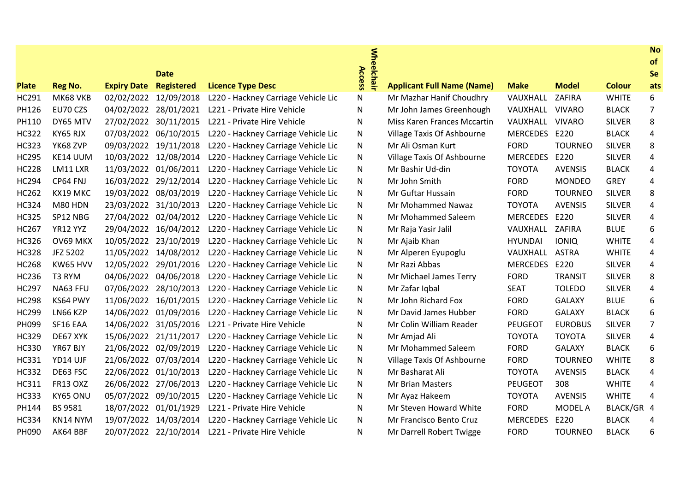|              |                |                    | <b>Date</b>           |                                     | <b>Wheelchair</b><br>Access |                                    |                 |                |               | <b>No</b><br>of<br>Se |
|--------------|----------------|--------------------|-----------------------|-------------------------------------|-----------------------------|------------------------------------|-----------------|----------------|---------------|-----------------------|
| <b>Plate</b> | <b>Reg No.</b> | <b>Expiry Date</b> | <b>Registered</b>     | <b>Licence Type Desc</b>            |                             | <b>Applicant Full Name (Name)</b>  | <b>Make</b>     | <b>Model</b>   | <b>Colour</b> | ats                   |
| <b>HC291</b> | MK68 VKB       | 02/02/2022         | 12/09/2018            | L220 - Hackney Carriage Vehicle Lic | N                           | Mr Mazhar Hanif Choudhry           | VAUXHALL        | ZAFIRA         | <b>WHITE</b>  | 6                     |
| PH126        | EU70 CZS       | 04/02/2022         | 28/01/2021            | L221 - Private Hire Vehicle         | N                           | Mr John James Greenhough           | VAUXHALL        | <b>VIVARO</b>  | <b>BLACK</b>  | 7                     |
| PH110        | DY65 MTV       | 27/02/2022         | 30/11/2015            | L221 - Private Hire Vehicle         | N                           | <b>Miss Karen Frances Mccartin</b> | VAUXHALL        | <b>VIVARO</b>  | <b>SILVER</b> | 8                     |
| <b>HC322</b> | KY65 RJX       | 07/03/2022         | 06/10/2015            | L220 - Hackney Carriage Vehicle Lic | N                           | Village Taxis Of Ashbourne         | <b>MERCEDES</b> | E220           | <b>BLACK</b>  | 4                     |
| <b>HC323</b> | YK68 ZVP       |                    | 09/03/2022 19/11/2018 | L220 - Hackney Carriage Vehicle Lic | N                           | Mr Ali Osman Kurt                  | <b>FORD</b>     | <b>TOURNEO</b> | <b>SILVER</b> | 8                     |
| <b>HC295</b> | KE14 UUM       |                    | 10/03/2022 12/08/2014 | L220 - Hackney Carriage Vehicle Lic | N                           | Village Taxis Of Ashbourne         | <b>MERCEDES</b> | E220           | <b>SILVER</b> | 4                     |
| <b>HC228</b> | LM11 LXR       |                    | 11/03/2022 01/06/2011 | L220 - Hackney Carriage Vehicle Lic | N                           | Mr Bashir Ud-din                   | <b>TOYOTA</b>   | <b>AVENSIS</b> | <b>BLACK</b>  | 4                     |
| <b>HC294</b> | CP64 FNJ       | 16/03/2022         | 29/12/2014            | L220 - Hackney Carriage Vehicle Lic | N                           | Mr John Smith                      | <b>FORD</b>     | <b>MONDEO</b>  | <b>GREY</b>   | 4                     |
| <b>HC262</b> | KX19 MKC       |                    | 19/03/2022 08/03/2019 | L220 - Hackney Carriage Vehicle Lic | N                           | Mr Guftar Hussain                  | <b>FORD</b>     | <b>TOURNEO</b> | <b>SILVER</b> | 8                     |
| <b>HC324</b> | M80 HDN        |                    | 23/03/2022 31/10/2013 | L220 - Hackney Carriage Vehicle Lic | N                           | Mr Mohammed Nawaz                  | <b>TOYOTA</b>   | <b>AVENSIS</b> | <b>SILVER</b> | 4                     |
| <b>HC325</b> | SP12 NBG       |                    | 27/04/2022 02/04/2012 | L220 - Hackney Carriage Vehicle Lic | N                           | Mr Mohammed Saleem                 | <b>MERCEDES</b> | E220           | <b>SILVER</b> | 4                     |
| <b>HC267</b> | YR12 YYZ       | 29/04/2022         | 16/04/2012            | L220 - Hackney Carriage Vehicle Lic | N                           | Mr Raja Yasir Jalil                | VAUXHALL        | ZAFIRA         | <b>BLUE</b>   | 6                     |
| <b>HC326</b> | OV69 MKX       |                    | 10/05/2022 23/10/2019 | L220 - Hackney Carriage Vehicle Lic | N                           | Mr Ajaib Khan                      | <b>HYUNDAI</b>  | <b>IONIQ</b>   | <b>WHITE</b>  | 4                     |
| <b>HC328</b> | JFZ 5202       |                    | 11/05/2022 14/08/2012 | L220 - Hackney Carriage Vehicle Lic | N                           | Mr Alperen Eyupoglu                | VAUXHALL        | <b>ASTRA</b>   | <b>WHITE</b>  | 4                     |
| <b>HC268</b> | KW65 HVV       | 12/05/2022         | 29/01/2016            | L220 - Hackney Carriage Vehicle Lic | N                           | Mr Razi Abbas                      | <b>MERCEDES</b> | E220           | <b>SILVER</b> | 4                     |
| <b>HC236</b> | T3 RYM         | 04/06/2022         | 04/06/2018            | L220 - Hackney Carriage Vehicle Lic | N                           | Mr Michael James Terry             | <b>FORD</b>     | <b>TRANSIT</b> | <b>SILVER</b> | 8                     |
| <b>HC297</b> | NA63 FFU       |                    | 07/06/2022 28/10/2013 | L220 - Hackney Carriage Vehicle Lic | N                           | Mr Zafar Iqbal                     | <b>SEAT</b>     | <b>TOLEDO</b>  | <b>SILVER</b> | 4                     |
| <b>HC298</b> | KS64 PWY       |                    | 11/06/2022 16/01/2015 | L220 - Hackney Carriage Vehicle Lic | N                           | Mr John Richard Fox                | <b>FORD</b>     | <b>GALAXY</b>  | <b>BLUE</b>   | 6                     |
| <b>HC299</b> | LN66 KZP       |                    | 14/06/2022 01/09/2016 | L220 - Hackney Carriage Vehicle Lic | N                           | Mr David James Hubber              | <b>FORD</b>     | <b>GALAXY</b>  | <b>BLACK</b>  | 6                     |
| PH099        | SF16 EAA       | 14/06/2022         | 31/05/2016            | L221 - Private Hire Vehicle         | N                           | Mr Colin William Reader            | <b>PEUGEOT</b>  | <b>EUROBUS</b> | <b>SILVER</b> | 7                     |
| <b>HC329</b> | DE67 XYK       |                    | 15/06/2022 21/11/2017 | L220 - Hackney Carriage Vehicle Lic | N                           | Mr Amjad Ali                       | <b>TOYOTA</b>   | <b>TOYOTA</b>  | <b>SILVER</b> | 4                     |
| <b>HC330</b> | YR67 BJY       |                    | 21/06/2022 02/09/2019 | L220 - Hackney Carriage Vehicle Lic | N                           | Mr Mohammed Saleem                 | <b>FORD</b>     | <b>GALAXY</b>  | <b>BLACK</b>  | 6                     |
| <b>HC331</b> | YD14 UJF       | 21/06/2022         | 07/03/2014            | L220 - Hackney Carriage Vehicle Lic | N                           | Village Taxis Of Ashbourne         | <b>FORD</b>     | <b>TOURNEO</b> | <b>WHITE</b>  | 8                     |
| <b>HC332</b> | DE63 FSC       | 22/06/2022         | 01/10/2013            | L220 - Hackney Carriage Vehicle Lic | N                           | Mr Basharat Ali                    | <b>TOYOTA</b>   | <b>AVENSIS</b> | <b>BLACK</b>  | 4                     |
| <b>HC311</b> | FR13 OXZ       | 26/06/2022         | 27/06/2013            | L220 - Hackney Carriage Vehicle Lic | N                           | <b>Mr Brian Masters</b>            | <b>PEUGEOT</b>  | 308            | <b>WHITE</b>  | 4                     |
| <b>HC333</b> | KY65 ONU       |                    | 05/07/2022 09/10/2015 | L220 - Hackney Carriage Vehicle Lic | N                           | Mr Ayaz Hakeem                     | <b>TOYOTA</b>   | <b>AVENSIS</b> | <b>WHITE</b>  | 4                     |
| PH144        | BS 9581        | 18/07/2022         | 01/01/1929            | L221 - Private Hire Vehicle         | N                           | Mr Steven Howard White             | <b>FORD</b>     | MODEL A        | BLACK/GR 4    |                       |
| <b>HC334</b> | KN14 NYM       |                    | 19/07/2022 14/03/2014 | L220 - Hackney Carriage Vehicle Lic | N                           | Mr Francisco Bento Cruz            | <b>MERCEDES</b> | E220           | <b>BLACK</b>  | 4                     |
| PH090        | AK64 BBF       |                    | 20/07/2022 22/10/2014 | L221 - Private Hire Vehicle         | N                           | Mr Darrell Robert Twigge           | <b>FORD</b>     | <b>TOURNEO</b> | <b>BLACK</b>  | 6                     |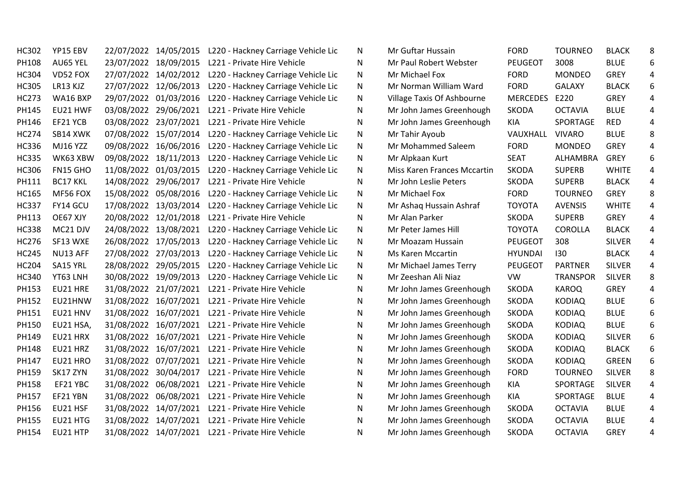| <b>HC302</b> | YP15 EBV        | 22/07/2022 14/05/2015 | L220 - Hackney Carriage Vehicle Lic | N | Mr Guftar Hussain           | <b>FORD</b>     | <b>TOURNEO</b>  | <b>BLACK</b>  | 8 |
|--------------|-----------------|-----------------------|-------------------------------------|---|-----------------------------|-----------------|-----------------|---------------|---|
| PH108        | AU65 YEL        | 23/07/2022 18/09/2015 | L221 - Private Hire Vehicle         | N | Mr Paul Robert Webster      | <b>PEUGEOT</b>  | 3008            | <b>BLUE</b>   | 6 |
| <b>HC304</b> | VD52 FOX        | 27/07/2022 14/02/2012 | L220 - Hackney Carriage Vehicle Lic | N | Mr Michael Fox              | <b>FORD</b>     | <b>MONDEO</b>   | GREY          | 4 |
| <b>HC305</b> | LR13 KJZ        | 27/07/2022 12/06/2013 | L220 - Hackney Carriage Vehicle Lic | N | Mr Norman William Ward      | <b>FORD</b>     | <b>GALAXY</b>   | <b>BLACK</b>  | 6 |
| <b>HC273</b> | WA16 BXP        | 29/07/2022 01/03/2016 | L220 - Hackney Carriage Vehicle Lic | N | Village Taxis Of Ashbourne  | <b>MERCEDES</b> | E220            | <b>GREY</b>   |   |
| PH145        | EU21 HWF        | 03/08/2022 29/06/2021 | L221 - Private Hire Vehicle         | N | Mr John James Greenhough    | <b>SKODA</b>    | <b>OCTAVIA</b>  | <b>BLUE</b>   | 4 |
| PH146        | EF21 YCB        | 03/08/2022 23/07/2021 | L221 - Private Hire Vehicle         | N | Mr John James Greenhough    | KIA             | SPORTAGE        | <b>RED</b>    | 4 |
| <b>HC274</b> | SB14 XWK        | 07/08/2022 15/07/2014 | L220 - Hackney Carriage Vehicle Lic | N | Mr Tahir Ayoub              | VAUXHALL        | <b>VIVARO</b>   | <b>BLUE</b>   | 8 |
| <b>HC336</b> | <b>MJ16 YZZ</b> | 09/08/2022 16/06/2016 | L220 - Hackney Carriage Vehicle Lic | N | Mr Mohammed Saleem          | <b>FORD</b>     | <b>MONDEO</b>   | <b>GREY</b>   |   |
| <b>HC335</b> | WK63 XBW        | 09/08/2022 18/11/2013 | L220 - Hackney Carriage Vehicle Lic | N | Mr Alpkaan Kurt             | <b>SEAT</b>     | ALHAMBRA        | <b>GREY</b>   | 6 |
| <b>HC306</b> | FN15 GHO        | 11/08/2022 01/03/2015 | L220 - Hackney Carriage Vehicle Lic | N | Miss Karen Frances Mccartin | <b>SKODA</b>    | <b>SUPERB</b>   | <b>WHITE</b>  | 4 |
| PH111        | <b>BC17 KKL</b> | 14/08/2022 29/06/2017 | L221 - Private Hire Vehicle         | N | Mr John Leslie Peters       | SKODA           | <b>SUPERB</b>   | <b>BLACK</b>  |   |
| <b>HC165</b> | MF56 FOX        | 15/08/2022 05/08/2016 | L220 - Hackney Carriage Vehicle Lic | N | Mr Michael Fox              | <b>FORD</b>     | <b>TOURNEO</b>  | GREY          | 8 |
| <b>HC337</b> | FY14 GCU        | 17/08/2022 13/03/2014 | L220 - Hackney Carriage Vehicle Lic | N | Mr Ashaq Hussain Ashraf     | <b>TOYOTA</b>   | <b>AVENSIS</b>  | <b>WHITE</b>  | 4 |
| PH113        | OE67 XJY        | 20/08/2022 12/01/2018 | L221 - Private Hire Vehicle         | N | Mr Alan Parker              | SKODA           | <b>SUPERB</b>   | GREY          | 4 |
| <b>HC338</b> | MC21 DJV        | 24/08/2022 13/08/2021 | L220 - Hackney Carriage Vehicle Lic | N | Mr Peter James Hill         | <b>TOYOTA</b>   | <b>COROLLA</b>  | <b>BLACK</b>  | 4 |
| <b>HC276</b> | SF13 WXE        | 26/08/2022 17/05/2013 | L220 - Hackney Carriage Vehicle Lic | N | Mr Moazam Hussain           | <b>PEUGEOT</b>  | 308             | <b>SILVER</b> | 4 |
| <b>HC245</b> | NU13 AFF        | 27/08/2022 27/03/2013 | L220 - Hackney Carriage Vehicle Lic | N | <b>Ms Karen Mccartin</b>    | <b>HYUNDAI</b>  | 130             | <b>BLACK</b>  | 4 |
| <b>HC204</b> | SA15 YRL        | 28/08/2022 29/05/2015 | L220 - Hackney Carriage Vehicle Lic | N | Mr Michael James Terry      | <b>PEUGEOT</b>  | <b>PARTNER</b>  | <b>SILVER</b> | 4 |
| <b>HC340</b> | YT63 LNH        | 30/08/2022 19/09/2013 | L220 - Hackney Carriage Vehicle Lic | N | Mr Zeeshan Ali Niaz         | <b>VW</b>       | <b>TRANSPOR</b> | <b>SILVER</b> | 8 |
| PH153        | EU21 HRE        | 31/08/2022 21/07/2021 | L221 - Private Hire Vehicle         | N | Mr John James Greenhough    | <b>SKODA</b>    | <b>KAROQ</b>    | <b>GREY</b>   | 4 |
| PH152        | EU21HNW         | 31/08/2022 16/07/2021 | L221 - Private Hire Vehicle         | N | Mr John James Greenhough    | <b>SKODA</b>    | <b>KODIAQ</b>   | <b>BLUE</b>   | 6 |
| PH151        | EU21 HNV        | 31/08/2022 16/07/2021 | L221 - Private Hire Vehicle         | N | Mr John James Greenhough    | <b>SKODA</b>    | <b>KODIAQ</b>   | <b>BLUE</b>   | 6 |
| PH150        | EU21 HSA,       | 31/08/2022 16/07/2021 | L221 - Private Hire Vehicle         | N | Mr John James Greenhough    | <b>SKODA</b>    | <b>KODIAQ</b>   | <b>BLUE</b>   | 6 |
| PH149        | EU21 HRX        | 31/08/2022 16/07/2021 | L221 - Private Hire Vehicle         | N | Mr John James Greenhough    | <b>SKODA</b>    | <b>KODIAQ</b>   | <b>SILVER</b> | 6 |
| PH148        | EU21 HRZ        | 31/08/2022 16/07/2021 | L221 - Private Hire Vehicle         | N | Mr John James Greenhough    | <b>SKODA</b>    | <b>KODIAQ</b>   | <b>BLACK</b>  | 6 |
| PH147        | EU21 HRO        | 31/08/2022 07/07/2021 | L221 - Private Hire Vehicle         | N | Mr John James Greenhough    | <b>SKODA</b>    | <b>KODIAQ</b>   | <b>GREEN</b>  | 6 |
| PH159        | SK17 ZYN        | 31/08/2022 30/04/2017 | L221 - Private Hire Vehicle         | N | Mr John James Greenhough    | <b>FORD</b>     | <b>TOURNEO</b>  | <b>SILVER</b> | 8 |
| PH158        | EF21 YBC        | 31/08/2022 06/08/2021 | L221 - Private Hire Vehicle         | N | Mr John James Greenhough    | KIA             | SPORTAGE        | <b>SILVER</b> | 4 |
| PH157        | EF21 YBN        | 31/08/2022 06/08/2021 | L221 - Private Hire Vehicle         | N | Mr John James Greenhough    | KIA             | SPORTAGE        | <b>BLUE</b>   | 4 |
| PH156        | EU21 HSF        | 31/08/2022 14/07/2021 | L221 - Private Hire Vehicle         | N | Mr John James Greenhough    | <b>SKODA</b>    | <b>OCTAVIA</b>  | <b>BLUE</b>   | 4 |
| PH155        | EU21 HTG        | 31/08/2022 14/07/2021 | L221 - Private Hire Vehicle         | N | Mr John James Greenhough    | <b>SKODA</b>    | <b>OCTAVIA</b>  | <b>BLUE</b>   | 4 |
| PH154        | EU21 HTP        | 31/08/2022 14/07/2021 | L221 - Private Hire Vehicle         | N | Mr John James Greenhough    | <b>SKODA</b>    | <b>OCTAVIA</b>  | <b>GREY</b>   | 4 |

| Mr Guftar Hussain           | <b>FORD</b>     | <b>TOURNEO</b>  | <b>BLACK</b>  | 8 |
|-----------------------------|-----------------|-----------------|---------------|---|
| Mr Paul Robert Webster      | <b>PEUGEOT</b>  | 3008            | <b>BLUE</b>   | 6 |
| Mr Michael Fox              | <b>FORD</b>     | <b>MONDEO</b>   | <b>GREY</b>   | 4 |
| Mr Norman William Ward      | <b>FORD</b>     | <b>GALAXY</b>   | <b>BLACK</b>  | 6 |
| Village Taxis Of Ashbourne  | <b>MERCEDES</b> | E220            | <b>GREY</b>   | 4 |
| Mr John James Greenhough    | <b>SKODA</b>    | <b>OCTAVIA</b>  | <b>BLUE</b>   | 4 |
| Mr John James Greenhough    | <b>KIA</b>      | SPORTAGE        | <b>RED</b>    | 4 |
| Mr Tahir Ayoub              | VAUXHALL        | <b>VIVARO</b>   | <b>BLUE</b>   | 8 |
| Mr Mohammed Saleem          | <b>FORD</b>     | <b>MONDEO</b>   | <b>GREY</b>   | 4 |
| Mr Alpkaan Kurt             | <b>SEAT</b>     | <b>ALHAMBRA</b> | <b>GREY</b>   | 6 |
| Miss Karen Frances Mccartin | <b>SKODA</b>    | <b>SUPERB</b>   | <b>WHITE</b>  | 4 |
| Mr John Leslie Peters       | <b>SKODA</b>    | <b>SUPERB</b>   | <b>BLACK</b>  | 4 |
| Mr Michael Fox              | <b>FORD</b>     | <b>TOURNEO</b>  | <b>GREY</b>   | 8 |
| Mr Ashaq Hussain Ashraf     | <b>TOYOTA</b>   | <b>AVENSIS</b>  | <b>WHITE</b>  | 4 |
| Mr Alan Parker              | <b>SKODA</b>    | <b>SUPERB</b>   | <b>GREY</b>   | 4 |
| Mr Peter James Hill         | <b>TOYOTA</b>   | <b>COROLLA</b>  | <b>BLACK</b>  | 4 |
| Mr Moazam Hussain           | <b>PEUGEOT</b>  | 308             | <b>SILVER</b> | 4 |
| <b>Ms Karen Mccartin</b>    | <b>HYUNDAI</b>  | 130             | <b>BLACK</b>  | 4 |
| Mr Michael James Terry      | <b>PEUGEOT</b>  | <b>PARTNER</b>  | <b>SILVER</b> | 4 |
| Mr Zeeshan Ali Niaz         | VW              | <b>TRANSPOR</b> | <b>SILVER</b> | 8 |
| Mr John James Greenhough    | <b>SKODA</b>    | <b>KAROQ</b>    | <b>GREY</b>   | 4 |
| Mr John James Greenhough    | <b>SKODA</b>    | <b>KODIAQ</b>   | <b>BLUE</b>   | 6 |
| Mr John James Greenhough    | <b>SKODA</b>    | <b>KODIAQ</b>   | <b>BLUE</b>   | 6 |
| Mr John James Greenhough    | <b>SKODA</b>    | <b>KODIAQ</b>   | <b>BLUE</b>   | 6 |
| Mr John James Greenhough    | <b>SKODA</b>    | <b>KODIAQ</b>   | <b>SILVER</b> | 6 |
| Mr John James Greenhough    | <b>SKODA</b>    | <b>KODIAQ</b>   | <b>BLACK</b>  | 6 |
| Mr John James Greenhough    | <b>SKODA</b>    | <b>KODIAQ</b>   | <b>GREEN</b>  | 6 |
| Mr John James Greenhough    | <b>FORD</b>     | <b>TOURNEO</b>  | <b>SILVER</b> | 8 |
| Mr John James Greenhough    | <b>KIA</b>      | SPORTAGE        | <b>SILVER</b> | 4 |
| Mr John James Greenhough    | KIA             | SPORTAGE        | <b>BLUE</b>   | 4 |
| Mr John James Greenhough    | <b>SKODA</b>    | <b>OCTAVIA</b>  | <b>BLUE</b>   | 4 |
| Mr John James Greenhough    | <b>SKODA</b>    | <b>OCTAVIA</b>  | <b>BLUE</b>   | 4 |
| Mr John James Greenhough    | <b>SKODA</b>    | <b>OCTAVIA</b>  | <b>GREY</b>   | 4 |
|                             |                 |                 |               |   |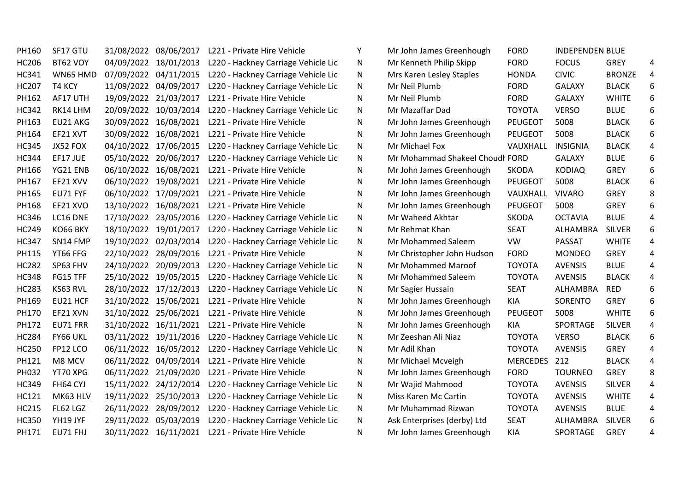| PH160        | SF17 GTU |            | 31/08/2022 08/06/2017 | L221 - Private Hire Vehicle         | Υ | Mr John James Greenhough        | <b>FORD</b>    | <b>INDEPENDEN BLUE</b> |               |   |
|--------------|----------|------------|-----------------------|-------------------------------------|---|---------------------------------|----------------|------------------------|---------------|---|
| <b>HC206</b> | BT62 VOY |            | 04/09/2022 18/01/2013 | L220 - Hackney Carriage Vehicle Lic | N | Mr Kenneth Philip Skipp         | <b>FORD</b>    | <b>FOCUS</b>           | <b>GREY</b>   | 4 |
| <b>HC341</b> | WN65 HMD |            | 07/09/2022 04/11/2015 | L220 - Hackney Carriage Vehicle Lic | N | Mrs Karen Lesley Staples        | <b>HONDA</b>   | <b>CIVIC</b>           | <b>BRONZE</b> | 4 |
| <b>HC207</b> | T4 KCY   |            | 11/09/2022 04/09/2017 | L220 - Hackney Carriage Vehicle Lic | Ν | Mr Neil Plumb                   | <b>FORD</b>    | <b>GALAXY</b>          | <b>BLACK</b>  | 6 |
| PH162        | AF17 UTH |            | 19/09/2022 21/03/2017 | L221 - Private Hire Vehicle         | Ν | Mr Neil Plumb                   | <b>FORD</b>    | <b>GALAXY</b>          | <b>WHITE</b>  | 6 |
| <b>HC342</b> | RK14 LHM |            | 20/09/2022 10/03/2014 | L220 - Hackney Carriage Vehicle Lic | N | Mr Mazaffar Dad                 | <b>TOYOTA</b>  | <b>VERSO</b>           | <b>BLUE</b>   | 6 |
| PH163        | EU21 AKG |            | 30/09/2022 16/08/2021 | L221 - Private Hire Vehicle         | Ν | Mr John James Greenhough        | <b>PEUGEOT</b> | 5008                   | <b>BLACK</b>  | 6 |
| PH164        | EF21 XVT |            | 30/09/2022 16/08/2021 | L221 - Private Hire Vehicle         | Ν | Mr John James Greenhough        | <b>PEUGEOT</b> | 5008                   | <b>BLACK</b>  | 6 |
| <b>HC345</b> | JX52 FOX |            | 04/10/2022 17/06/2015 | L220 - Hackney Carriage Vehicle Lic | N | Mr Michael Fox                  | VAUXHALL       | <b>INSIGNIA</b>        | <b>BLACK</b>  | 4 |
| <b>HC344</b> | EF17 JUE |            | 05/10/2022 20/06/2017 | L220 - Hackney Carriage Vehicle Lic | N | Mr Mohammad Shakeel Choudl FORD |                | <b>GALAXY</b>          | <b>BLUE</b>   | 6 |
| PH166        | YG21 ENB |            | 06/10/2022 16/08/2021 | L221 - Private Hire Vehicle         | Ν | Mr John James Greenhough        | <b>SKODA</b>   | <b>KODIAQ</b>          | <b>GREY</b>   | 6 |
| PH167        | EF21 XVV |            | 06/10/2022 19/08/2021 | L221 - Private Hire Vehicle         | Ν | Mr John James Greenhough        | <b>PEUGEOT</b> | 5008                   | <b>BLACK</b>  | 6 |
| PH165        | EU71 FYF | 06/10/2022 | 17/09/2021            | L221 - Private Hire Vehicle         | N | Mr John James Greenhough        | VAUXHALL       | <b>VIVARO</b>          | <b>GREY</b>   | 8 |
| PH168        | EF21 XVO |            | 13/10/2022 16/08/2021 | L221 - Private Hire Vehicle         | Ν | Mr John James Greenhough        | <b>PEUGEOT</b> | 5008                   | <b>GREY</b>   | 6 |
| <b>HC346</b> | LC16 DNE |            | 17/10/2022 23/05/2016 | L220 - Hackney Carriage Vehicle Lic | N | Mr Waheed Akhtar                | <b>SKODA</b>   | <b>OCTAVIA</b>         | <b>BLUE</b>   |   |
| <b>HC249</b> | KO66 BKY |            | 18/10/2022 19/01/2017 | L220 - Hackney Carriage Vehicle Lic | N | Mr Rehmat Khan                  | <b>SEAT</b>    | ALHAMBRA               | <b>SILVER</b> | 6 |
| <b>HC347</b> | SN14 FMP |            | 19/10/2022 02/03/2014 | L220 - Hackney Carriage Vehicle Lic | N | Mr Mohammed Saleem              | VW             | PASSAT                 | <b>WHITE</b>  |   |
| PH115        | YT66 FFG |            | 22/10/2022 28/09/2016 | L221 - Private Hire Vehicle         | Ν | Mr Christopher John Hudson      | <b>FORD</b>    | <b>MONDEO</b>          | GREY          |   |
| <b>HC282</b> | SP63 FHV |            | 24/10/2022 20/09/2013 | L220 - Hackney Carriage Vehicle Lic | N | Mr Mohammed Maroof              | <b>TOYOTA</b>  | <b>AVENSIS</b>         | <b>BLUE</b>   |   |
| <b>HC348</b> | FG15 TFF | 25/10/2022 | 19/05/2015            | L220 - Hackney Carriage Vehicle Lic | Ν | Mr Mohammed Saleem              | <b>TOYOTA</b>  | <b>AVENSIS</b>         | <b>BLACK</b>  | Δ |
| <b>HC283</b> | KS63 RVL |            | 28/10/2022 17/12/2013 | L220 - Hackney Carriage Vehicle Lic | N | Mr Sagier Hussain               | <b>SEAT</b>    | ALHAMBRA               | <b>RED</b>    | 6 |
| PH169        | EU21 HCF |            | 31/10/2022 15/06/2021 | L221 - Private Hire Vehicle         | Ν | Mr John James Greenhough        | KIA            | SORENTO                | <b>GREY</b>   | 6 |
| PH170        | EF21 XVN |            | 31/10/2022 25/06/2021 | L221 - Private Hire Vehicle         | Ν | Mr John James Greenhough        | <b>PEUGEOT</b> | 5008                   | <b>WHITE</b>  | 6 |
| PH172        | EU71 FRR |            | 31/10/2022 16/11/2021 | L221 - Private Hire Vehicle         | N | Mr John James Greenhough        | KIA            | SPORTAGE               | <b>SILVER</b> |   |
| <b>HC284</b> | FY66 UKL |            | 03/11/2022 19/11/2016 | L220 - Hackney Carriage Vehicle Lic | N | Mr Zeeshan Ali Niaz             | <b>TOYOTA</b>  | <b>VERSO</b>           | <b>BLACK</b>  | 6 |
| <b>HC250</b> | FP12 LCO |            | 06/11/2022 16/05/2012 | L220 - Hackney Carriage Vehicle Lic | N | Mr Adil Khan                    | <b>TOYOTA</b>  | <b>AVENSIS</b>         | GREY          | 4 |
| PH121        | M8 MCV   |            | 06/11/2022 04/09/2014 | L221 - Private Hire Vehicle         | N | Mr Michael Mcveigh              | MERCEDES 212   |                        | <b>BLACK</b>  | 4 |
| PH032        | YT70 XPG |            | 06/11/2022 21/09/2020 | L221 - Private Hire Vehicle         | N | Mr John James Greenhough        | <b>FORD</b>    | <b>TOURNEO</b>         | GREY          | 8 |
| <b>HC349</b> | FH64 CYJ |            | 15/11/2022 24/12/2014 | L220 - Hackney Carriage Vehicle Lic | N | Mr Wajid Mahmood                | <b>TOYOTA</b>  | <b>AVENSIS</b>         | <b>SILVER</b> | 4 |
| HC121        | MK63 HLV |            | 19/11/2022 25/10/2013 | L220 - Hackney Carriage Vehicle Lic | Ν | Miss Karen Mc Cartin            | <b>TOYOTA</b>  | <b>AVENSIS</b>         | <b>WHITE</b>  | 4 |
| <b>HC215</b> | FL62 LGZ |            | 26/11/2022 28/09/2012 | L220 - Hackney Carriage Vehicle Lic | N | Mr Muhammad Rizwan              | <b>TOYOTA</b>  | <b>AVENSIS</b>         | <b>BLUE</b>   |   |
| <b>HC350</b> | YH19 JYF |            | 29/11/2022 05/03/2019 | L220 - Hackney Carriage Vehicle Lic | Ν | Ask Enterprises (derby) Ltd     | <b>SEAT</b>    | ALHAMBRA               | <b>SILVER</b> | 6 |
| PH171        | EU71 FHJ |            | 30/11/2022 16/11/2021 | L221 - Private Hire Vehicle         | Ν | Mr John James Greenhough        | KIA            | SPORTAGE               | <b>GREY</b>   | 4 |

| Mr John James Greenhough        | <b>FORD</b>     | <b>INDEPENDEN BLUE</b> |               |   |
|---------------------------------|-----------------|------------------------|---------------|---|
| Mr Kenneth Philip Skipp         | <b>FORD</b>     | <b>FOCUS</b>           | GREY          | 4 |
| Mrs Karen Lesley Staples        | <b>HONDA</b>    | <b>CIVIC</b>           | <b>BRONZE</b> | 4 |
| Mr Neil Plumb                   | <b>FORD</b>     | <b>GALAXY</b>          | <b>BLACK</b>  | 6 |
| Mr Neil Plumb                   | <b>FORD</b>     | <b>GALAXY</b>          | <b>WHITE</b>  | 6 |
| Mr Mazaffar Dad                 | <b>TOYOTA</b>   | <b>VERSO</b>           | <b>BLUE</b>   | 6 |
| Mr John James Greenhough        | <b>PEUGEOT</b>  | 5008                   | <b>BLACK</b>  | 6 |
| Mr John James Greenhough        | <b>PEUGEOT</b>  | 5008                   | <b>BLACK</b>  | 6 |
| Mr Michael Fox                  | VAUXHALL        | <b>INSIGNIA</b>        | <b>BLACK</b>  | 4 |
| Mr Mohammad Shakeel Choudl FORD |                 | <b>GALAXY</b>          | <b>BLUE</b>   | 6 |
| Mr John James Greenhough        | <b>SKODA</b>    | <b>KODIAQ</b>          | <b>GREY</b>   | 6 |
| Mr John James Greenhough        | <b>PEUGEOT</b>  | 5008                   | <b>BLACK</b>  | 6 |
| Mr John James Greenhough        | VAUXHALL        | <b>VIVARO</b>          | <b>GREY</b>   | 8 |
| Mr John James Greenhough        | <b>PEUGEOT</b>  | 5008                   | <b>GREY</b>   | 6 |
| Mr Waheed Akhtar                | <b>SKODA</b>    | <b>OCTAVIA</b>         | <b>BLUE</b>   | 4 |
| Mr Rehmat Khan                  | <b>SEAT</b>     | <b>ALHAMBRA</b>        | <b>SILVER</b> | 6 |
| Mr Mohammed Saleem              | VW              | <b>PASSAT</b>          | <b>WHITE</b>  | 4 |
| Mr Christopher John Hudson      | <b>FORD</b>     | <b>MONDEO</b>          | <b>GREY</b>   | 4 |
| Mr Mohammed Maroof              | <b>TOYOTA</b>   | <b>AVENSIS</b>         | <b>BLUE</b>   | 4 |
| Mr Mohammed Saleem              | <b>TOYOTA</b>   | <b>AVENSIS</b>         | <b>BLACK</b>  | 4 |
| Mr Sagier Hussain               | <b>SEAT</b>     | ALHAMBRA               | <b>RED</b>    | 6 |
| Mr John James Greenhough        | <b>KIA</b>      | SORENTO                | <b>GREY</b>   | 6 |
| Mr John James Greenhough        | <b>PEUGEOT</b>  | 5008                   | <b>WHITE</b>  | 6 |
| Mr John James Greenhough        | <b>KIA</b>      | <b>SPORTAGE</b>        | <b>SILVER</b> | 4 |
| Mr Zeeshan Ali Niaz             | <b>TOYOTA</b>   | <b>VERSO</b>           | <b>BLACK</b>  | 6 |
| Mr Adil Khan                    | ΤΟΥΟΤΑ          | <b>AVENSIS</b>         | <b>GREY</b>   | 4 |
| Mr Michael Mcveigh              | <b>MERCEDES</b> | 212                    | <b>BLACK</b>  | 4 |
| Mr John James Greenhough        | <b>FORD</b>     | <b>TOURNEO</b>         | <b>GREY</b>   | 8 |
| Mr Wajid Mahmood                | <b>TOYOTA</b>   | <b>AVENSIS</b>         | <b>SILVER</b> | 4 |
| Miss Karen Mc Cartin            | <b>TOYOTA</b>   | <b>AVENSIS</b>         | <b>WHITE</b>  | 4 |
| Mr Muhammad Rizwan              | <b>TOYOTA</b>   | <b>AVENSIS</b>         | <b>BLUE</b>   | 4 |
| Ask Enterprises (derby) Ltd     | <b>SEAT</b>     | ALHAMBRA               | <b>SILVER</b> | 6 |
| Mr John James Greenhough        | <b>KIA</b>      | SPORTAGE               | <b>GREY</b>   | 4 |
|                                 |                 |                        |               |   |